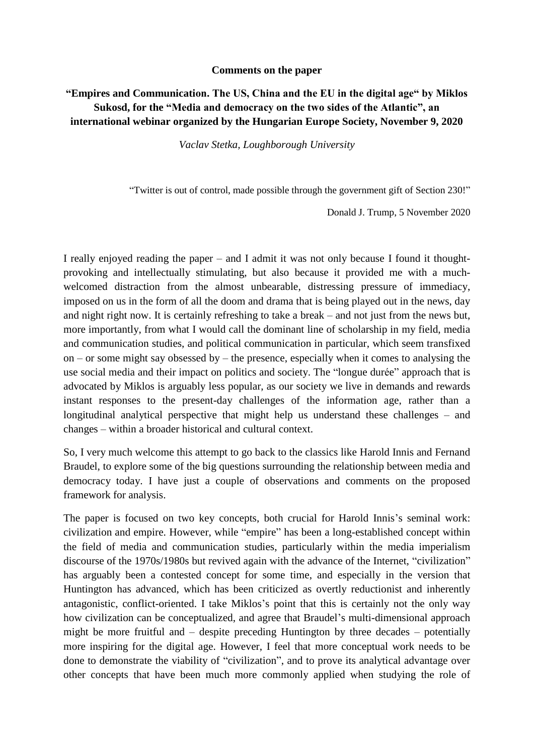## **Comments on the paper**

## **"Empires and Communication. The US, China and the EU in the digital age" by Miklos Sukosd, for the "Media and democracy on the two sides of the Atlantic", an international webinar organized by the Hungarian Europe Society, November 9, 2020**

*Vaclav Stetka, Loughborough University*

"Twitter is out of control, made possible through the government gift of Section 230!"

Donald J. Trump, 5 November 2020

I really enjoyed reading the paper – and I admit it was not only because I found it thoughtprovoking and intellectually stimulating, but also because it provided me with a muchwelcomed distraction from the almost unbearable, distressing pressure of immediacy, imposed on us in the form of all the doom and drama that is being played out in the news, day and night right now. It is certainly refreshing to take a break – and not just from the news but, more importantly, from what I would call the dominant line of scholarship in my field, media and communication studies, and political communication in particular, which seem transfixed on – or some might say obsessed by – the presence, especially when it comes to analysing the use social media and their impact on politics and society. The "longue durée" approach that is advocated by Miklos is arguably less popular, as our society we live in demands and rewards instant responses to the present-day challenges of the information age, rather than a longitudinal analytical perspective that might help us understand these challenges – and changes – within a broader historical and cultural context.

So, I very much welcome this attempt to go back to the classics like Harold Innis and Fernand Braudel, to explore some of the big questions surrounding the relationship between media and democracy today. I have just a couple of observations and comments on the proposed framework for analysis.

The paper is focused on two key concepts, both crucial for Harold Innis's seminal work: civilization and empire. However, while "empire" has been a long-established concept within the field of media and communication studies, particularly within the media imperialism discourse of the 1970s/1980s but revived again with the advance of the Internet, "civilization" has arguably been a contested concept for some time, and especially in the version that Huntington has advanced, which has been criticized as overtly reductionist and inherently antagonistic, conflict-oriented. I take Miklos's point that this is certainly not the only way how civilization can be conceptualized, and agree that Braudel's multi-dimensional approach might be more fruitful and – despite preceding Huntington by three decades – potentially more inspiring for the digital age. However, I feel that more conceptual work needs to be done to demonstrate the viability of "civilization", and to prove its analytical advantage over other concepts that have been much more commonly applied when studying the role of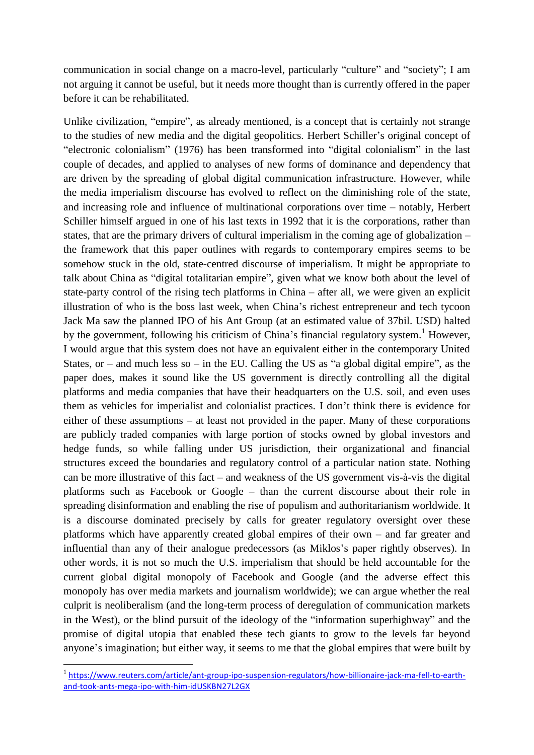communication in social change on a macro-level, particularly "culture" and "society"; I am not arguing it cannot be useful, but it needs more thought than is currently offered in the paper before it can be rehabilitated.

Unlike civilization, "empire", as already mentioned, is a concept that is certainly not strange to the studies of new media and the digital geopolitics. Herbert Schiller's original concept of "electronic colonialism" (1976) has been transformed into "digital colonialism" in the last couple of decades, and applied to analyses of new forms of dominance and dependency that are driven by the spreading of global digital communication infrastructure. However, while the media imperialism discourse has evolved to reflect on the diminishing role of the state, and increasing role and influence of multinational corporations over time – notably, Herbert Schiller himself argued in one of his last texts in 1992 that it is the corporations, rather than states, that are the primary drivers of cultural imperialism in the coming age of globalization – the framework that this paper outlines with regards to contemporary empires seems to be somehow stuck in the old, state-centred discourse of imperialism. It might be appropriate to talk about China as "digital totalitarian empire", given what we know both about the level of state-party control of the rising tech platforms in China – after all, we were given an explicit illustration of who is the boss last week, when China's richest entrepreneur and tech tycoon Jack Ma saw the planned IPO of his Ant Group (at an estimated value of 37bil. USD) halted by the government, following his criticism of China's financial regulatory system.<sup>1</sup> However, I would argue that this system does not have an equivalent either in the contemporary United States, or – and much less so – in the EU. Calling the US as "a global digital empire", as the paper does, makes it sound like the US government is directly controlling all the digital platforms and media companies that have their headquarters on the U.S. soil, and even uses them as vehicles for imperialist and colonialist practices. I don't think there is evidence for either of these assumptions – at least not provided in the paper. Many of these corporations are publicly traded companies with large portion of stocks owned by global investors and hedge funds, so while falling under US jurisdiction, their organizational and financial structures exceed the boundaries and regulatory control of a particular nation state. Nothing can be more illustrative of this fact – and weakness of the US government vis-à-vis the digital platforms such as Facebook or Google – than the current discourse about their role in spreading disinformation and enabling the rise of populism and authoritarianism worldwide. It is a discourse dominated precisely by calls for greater regulatory oversight over these platforms which have apparently created global empires of their own – and far greater and influential than any of their analogue predecessors (as Miklos's paper rightly observes). In other words, it is not so much the U.S. imperialism that should be held accountable for the current global digital monopoly of Facebook and Google (and the adverse effect this monopoly has over media markets and journalism worldwide); we can argue whether the real culprit is neoliberalism (and the long-term process of deregulation of communication markets in the West), or the blind pursuit of the ideology of the "information superhighway" and the promise of digital utopia that enabled these tech giants to grow to the levels far beyond anyone's imagination; but either way, it seems to me that the global empires that were built by

1

<sup>&</sup>lt;sup>1</sup>[https://www.reuters.com/article/ant-group-ipo-suspension-regulators/how-billionaire-jack-ma-fell-to-earth](https://www.reuters.com/article/ant-group-ipo-suspension-regulators/how-billionaire-jack-ma-fell-to-earth-and-took-ants-mega-ipo-with-him-idUSKBN27L2GX)[and-took-ants-mega-ipo-with-him-idUSKBN27L2GX](https://www.reuters.com/article/ant-group-ipo-suspension-regulators/how-billionaire-jack-ma-fell-to-earth-and-took-ants-mega-ipo-with-him-idUSKBN27L2GX)